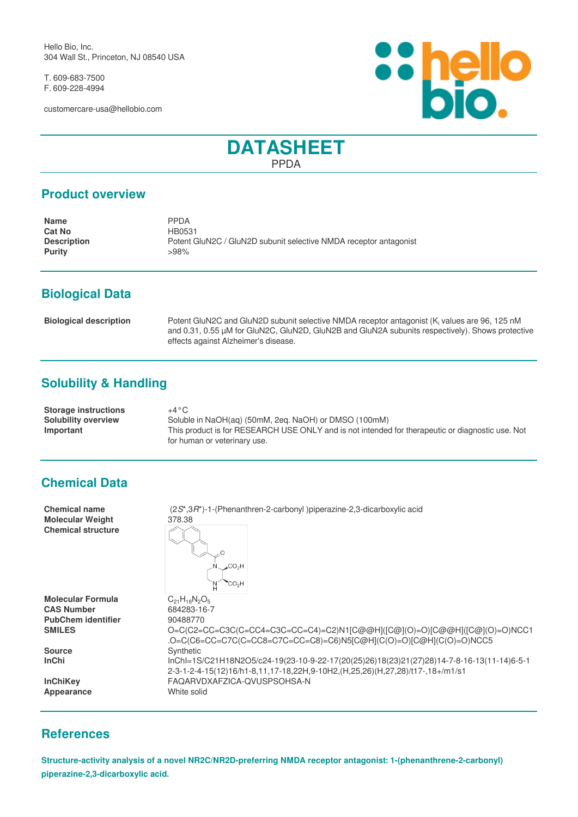Hello Bio, Inc. 304 Wall St., Princeton, NJ 08540 USA

T. 609-683-7500 F. 609-228-4994

customercare-usa@hellobio.com



# **DATASHEET** PPDA

#### **Product overview**

| <b>Name</b>        | <b>PPDA</b>                                                       |
|--------------------|-------------------------------------------------------------------|
| <b>Cat No</b>      | HB0531                                                            |
| <b>Description</b> | Potent GluN2C / GluN2D subunit selective NMDA receptor antagonist |
| <b>Purity</b>      | >98%                                                              |

# **Biological Data**

| <b>Biological description</b> | Potent GluN2C and GluN2D subunit selective NMDA receptor antagonist (K <sub>i</sub> values are 96, 125 nM |
|-------------------------------|-----------------------------------------------------------------------------------------------------------|
|                               | and 0.31, 0.55 µM for GluN2C, GluN2D, GluN2B and GluN2A subunits respectively). Shows protective          |
|                               | effects against Alzheimer's disease.                                                                      |

# **Solubility & Handling**

| <b>Storage instructions</b> | $+4\,^{\circ}\mathrm{C}$                                                                         |
|-----------------------------|--------------------------------------------------------------------------------------------------|
| Solubility overview         | Soluble in NaOH(ag) (50mM, 2eg. NaOH) or DMSO (100mM)                                            |
| Important                   | This product is for RESEARCH USE ONLY and is not intended for therapeutic or diagnostic use. Not |
|                             | for human or veterinary use.                                                                     |

#### **Chemical Data**

| <b>Chemical name</b><br><b>Molecular Weight</b><br><b>Chemical structure</b> | (2S*,3R*)-1-(Phenanthren-2-carbonyl) piperazine-2,3-dicarboxylic acid<br>378.38                                                                   |
|------------------------------------------------------------------------------|---------------------------------------------------------------------------------------------------------------------------------------------------|
|                                                                              | CO <sub>2</sub> H<br>'CO <sub>2</sub> H                                                                                                           |
| <b>Molecular Formula</b><br><b>CAS Number</b>                                | $C_{21}H_{18}N_2O_5$<br>684283-16-7                                                                                                               |
| <b>PubChem identifier</b>                                                    | 90488770                                                                                                                                          |
| <b>SMILES</b>                                                                | O=C(C2=CC=C3C(C=CC4=C3C=CC=C4)=C2)N1[C@@H]([C@](O)=O)[C@@H]([C@](O)=O)NCC1<br>.O=C(C6=CC=C7C(C=CC8=C7C=CC=C8)=C6)N5[C@H](C(O)=O)[C@H](C(O)=O)NCC5 |
| <b>Source</b>                                                                | Synthetic                                                                                                                                         |
| <b>InChi</b>                                                                 | lnChl=1S/C21H18N2O5/c24-19(23-10-9-22-17(20(25)26)18(23)21(27)28)14-7-8-16-13(11-14)6-5-1                                                         |
|                                                                              | 2-3-1-2-4-15(12)16/h1-8,11,17-18,22H,9-10H2,(H,25,26)(H,27,28)/t17-,18+/m1/s1                                                                     |
| <b>InChiKey</b>                                                              | FAQARVDXAFZICA-QVUSPSOHSA-N                                                                                                                       |
| Appearance                                                                   | White solid                                                                                                                                       |
|                                                                              |                                                                                                                                                   |

### **References**

**Structure-activity analysis of a novel NR2C/NR2D-preferring NMDA receptor antagonist: 1-(phenanthrene-2-carbonyl) piperazine-2,3-dicarboxylic acid.**